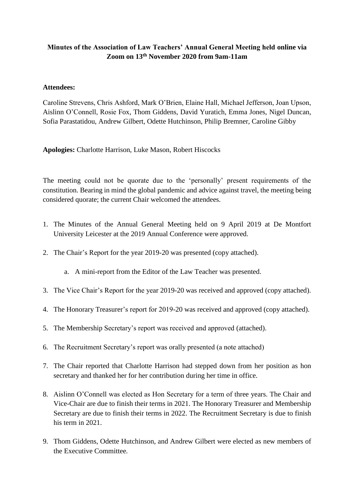# **Minutes of the Association of Law Teachers' Annual General Meeting held online via Zoom on 13th November 2020 from 9am-11am**

# **Attendees:**

Caroline Strevens, Chris Ashford, Mark O'Brien, Elaine Hall, Michael Jefferson, Joan Upson, Aislinn O'Connell, Rosie Fox, Thom Giddens, David Yuratich, Emma Jones, Nigel Duncan, Sofia Parastatidou, Andrew Gilbert, Odette Hutchinson, Philip Bremner, Caroline Gibby

**Apologies:** Charlotte Harrison, Luke Mason, Robert Hiscocks

The meeting could not be quorate due to the 'personally' present requirements of the constitution. Bearing in mind the global pandemic and advice against travel, the meeting being considered quorate; the current Chair welcomed the attendees.

- 1. The Minutes of the Annual General Meeting held on 9 April 2019 at De Montfort University Leicester at the 2019 Annual Conference were approved.
- 2. The Chair's Report for the year 2019-20 was presented (copy attached).
	- a. A mini-report from the Editor of the Law Teacher was presented.
- 3. The Vice Chair's Report for the year 2019-20 was received and approved (copy attached).
- 4. The Honorary Treasurer's report for 2019-20 was received and approved (copy attached).
- 5. The Membership Secretary's report was received and approved (attached).
- 6. The Recruitment Secretary's report was orally presented (a note attached)
- 7. The Chair reported that Charlotte Harrison had stepped down from her position as hon secretary and thanked her for her contribution during her time in office.
- 8. Aislinn O'Connell was elected as Hon Secretary for a term of three years. The Chair and Vice-Chair are due to finish their terms in 2021. The Honorary Treasurer and Membership Secretary are due to finish their terms in 2022. The Recruitment Secretary is due to finish his term in 2021.
- 9. Thom Giddens, Odette Hutchinson, and Andrew Gilbert were elected as new members of the Executive Committee.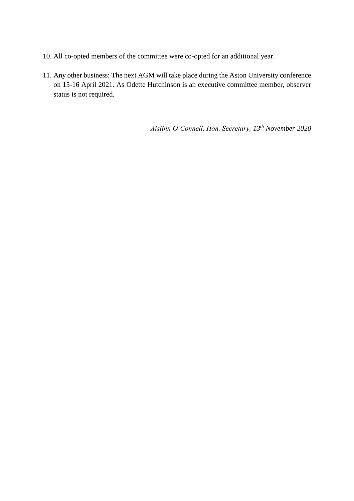- 10. All co-opted members of the committee were co-opted for an additional year.
- 11. Any other business: The next AGM will take place during the Aston University conference on 15-16 April 2021. As Odette Hutchinson is an executive committee member, observer status is not required.

*Aislinn O'Connell, Hon. Secretary, 13th November 2020*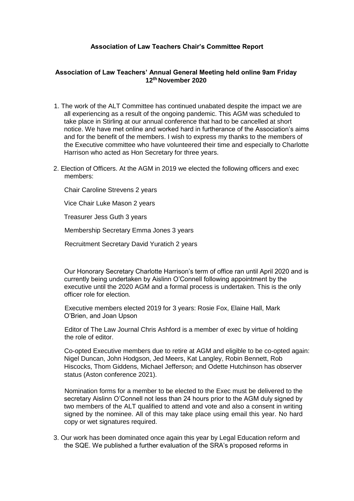# **Association of Law Teachers Chair's Committee Report**

## **Association of Law Teachers' Annual General Meeting held online 9am Friday 12th November 2020**

- 1. The work of the ALT Committee has continued unabated despite the impact we are all experiencing as a result of the ongoing pandemic. This AGM was scheduled to take place in Stirling at our annual conference that had to be cancelled at short notice. We have met online and worked hard in furtherance of the Association's aims and for the benefit of the members. I wish to express my thanks to the members of the Executive committee who have volunteered their time and especially to Charlotte Harrison who acted as Hon Secretary for three years.
- 2. Election of Officers. At the AGM in 2019 we elected the following officers and exec members:

Chair Caroline Strevens 2 years

Vice Chair Luke Mason 2 years

Treasurer Jess Guth 3 years

Membership Secretary Emma Jones 3 years

Recruitment Secretary David Yuratich 2 years

Our Honorary Secretary Charlotte Harrison's term of office ran until April 2020 and is currently being undertaken by Aislinn O'Connell following appointment by the executive until the 2020 AGM and a formal process is undertaken. This is the only officer role for election.

Executive members elected 2019 for 3 years: Rosie Fox, Elaine Hall, Mark O'Brien, and Joan Upson

Editor of The Law Journal Chris Ashford is a member of exec by virtue of holding the role of editor.

Co-opted Executive members due to retire at AGM and eligible to be co-opted again: Nigel Duncan, John Hodgson, Jed Meers, Kat Langley, Robin Bennett, Rob Hiscocks, Thom Giddens, Michael Jefferson; and Odette Hutchinson has observer status (Aston conference 2021).

Nomination forms for a member to be elected to the Exec must be delivered to the secretary Aislinn O'Connell not less than 24 hours prior to the AGM duly signed by two members of the ALT qualified to attend and vote and also a consent in writing signed by the nominee. All of this may take place using email this year. No hard copy or wet signatures required.

3. Our work has been dominated once again this year by Legal Education reform and the SQE. We published a further evaluation of the SRA's proposed reforms in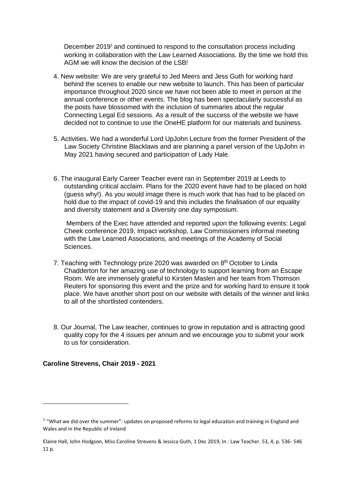December 2019<sup>1</sup> and continued to respond to the consultation process including working in collaboration with the Law Learned Associations. By the time we hold this AGM we will know the decision of the LSB!

- 4. New website: We are very grateful to Jed Meers and Jess Guth for working hard behind the scenes to enable our new website to launch. This has been of particular importance throughout 2020 since we have not been able to meet in person at the annual conference or other events. The blog has been spectacularly successful as the posts have blossomed with the inclusion of summaries about the regular Connecting Legal Ed sessions. As a result of the success of the website we have decided not to continue to use the OneHE platform for our materials and business.
- 5. Activities. We had a wonderful Lord UpJohn Lecture from the former President of the Law Society Christine Blacklaws and are planning a panel version of the UpJohn in May 2021 having secured and participation of Lady Hale.
- 6. The inaugural Early Career Teacher event ran in September 2019 at Leeds to outstanding critical acclaim. Plans for the 2020 event have had to be placed on hold (guess why!). As you would image there is much work that has had to be placed on hold due to the impact of covid-19 and this includes the finalisation of our equality and diversity statement and a Diversity one day symposium.

Members of the Exec have attended and reported upon the following events: Legal Cheek conference 2019, Impact workshop, Law Commissioners informal meeting with the Law Learned Associations, and meetings of the Academy of Social Sciences.

- 7. Teaching with Technology prize 2020 was awarded on 8<sup>th</sup> October to Linda Chadderton for her amazing use of technology to support learning from an Escape Room. We are immensely grateful to Kirsten Maslen and her team from Thomson Reuters for sponsoring this event and the prize and for working hard to ensure it took place. We have another short post on our website with details of the winner and links to all of the shortlisted contenders.
- 8. Our Journal, The Law teacher, continues to grow in reputation and is attracting good quality copy for the 4 issues per annum and we encourage you to submit your work to us for consideration.

## **Caroline Strevens, Chair 2019 - 2021**

 $\overline{\phantom{a}}$ 

 $1$  "What we did over the summer": updates on proposed reforms to legal education and training in England and Wales and in the Republic of Ireland

Elaine Hall, John Hodgson, Miss Caroline Strevens & Jessica Guth, 1 Dec 2019, In : Law Teacher. 53, 4, p. 536- 546 11 p.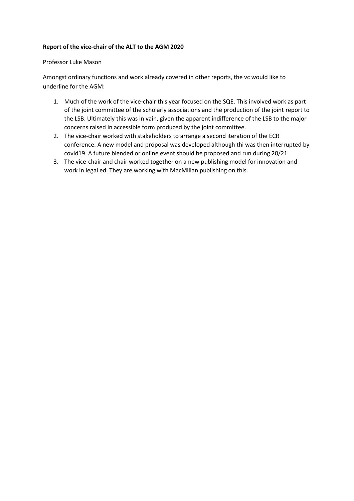### **Report of the vice-chair of the ALT to the AGM 2020**

### Professor Luke Mason

Amongst ordinary functions and work already covered in other reports, the vc would like to underline for the AGM:

- 1. Much of the work of the vice-chair this year focused on the SQE. This involved work as part of the joint committee of the scholarly associations and the production of the joint report to the LSB. Ultimately this was in vain, given the apparent indifference of the LSB to the major concerns raised in accessible form produced by the joint committee.
- 2. The vice-chair worked with stakeholders to arrange a second iteration of the ECR conference. A new model and proposal was developed although thi was then interrupted by covid19. A future blended or online event should be proposed and run during 20/21.
- 3. The vice-chair and chair worked together on a new publishing model for innovation and work in legal ed. They are working with MacMillan publishing on this.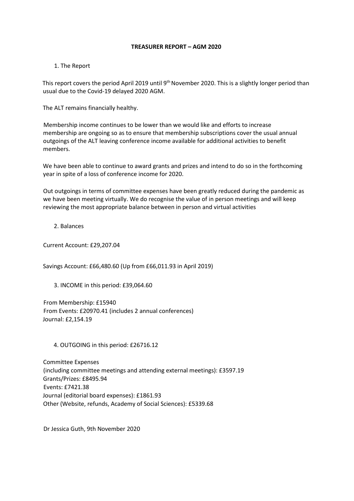#### **TREASURER REPORT – AGM 2020**

### 1. The Report

This report covers the period April 2019 until 9<sup>th</sup> November 2020. This is a slightly longer period than usual due to the Covid-19 delayed 2020 AGM.

The ALT remains financially healthy.

Membership income continues to be lower than we would like and efforts to increase membership are ongoing so as to ensure that membership subscriptions cover the usual annual outgoings of the ALT leaving conference income available for additional activities to benefit members.

We have been able to continue to award grants and prizes and intend to do so in the forthcoming year in spite of a loss of conference income for 2020.

Out outgoings in terms of committee expenses have been greatly reduced during the pandemic as we have been meeting virtually. We do recognise the value of in person meetings and will keep reviewing the most appropriate balance between in person and virtual activities

2. Balances

Current Account: £29,207.04

Savings Account: £66,480.60 (Up from £66,011.93 in April 2019)

3. INCOME in this period: £39,064.60

From Membership: £15940 From Events: £20970.41 (includes 2 annual conferences) Journal: £2,154.19

4. OUTGOING in this period: £26716.12

Committee Expenses (including committee meetings and attending external meetings): £3597.19 Grants/Prizes: £8495.94 Events: £7421.38 Journal (editorial board expenses): £1861.93 Other (Website, refunds, Academy of Social Sciences): £5339.68

Dr Jessica Guth, 9th November 2020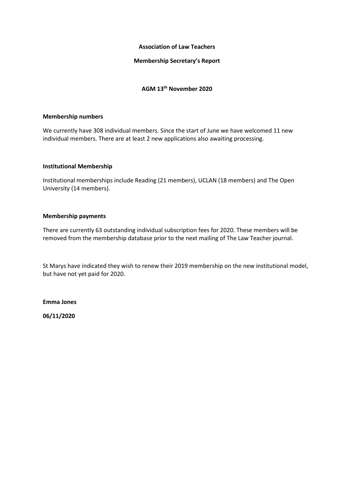#### **Association of Law Teachers**

### **Membership Secretary's Report**

# **AGM 13th November 2020**

#### **Membership numbers**

We currently have 308 individual members. Since the start of June we have welcomed 11 new individual members. There are at least 2 new applications also awaiting processing.

#### **Institutional Membership**

Institutional memberships include Reading (21 members), UCLAN (18 members) and The Open University (14 members).

#### **Membership payments**

There are currently 63 outstanding individual subscription fees for 2020. These members will be removed from the membership database prior to the next mailing of The Law Teacher journal.

St Marys have indicated they wish to renew their 2019 membership on the new institutional model, but have not yet paid for 2020.

**Emma Jones** 

**06/11/2020**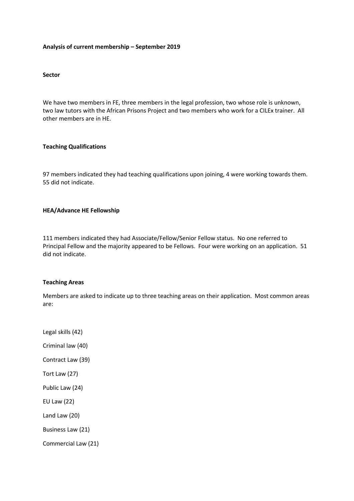### **Analysis of current membership – September 2019**

### **Sector**

We have two members in FE, three members in the legal profession, two whose role is unknown, two law tutors with the African Prisons Project and two members who work for a CILEx trainer. All other members are in HE.

#### **Teaching Qualifications**

97 members indicated they had teaching qualifications upon joining, 4 were working towards them. 55 did not indicate.

#### **HEA/Advance HE Fellowship**

111 members indicated they had Associate/Fellow/Senior Fellow status. No one referred to Principal Fellow and the majority appeared to be Fellows. Four were working on an application. 51 did not indicate.

#### **Teaching Areas**

Members are asked to indicate up to three teaching areas on their application. Most common areas are:

Legal skills (42) Criminal law (40) Contract Law (39) Tort Law (27) Public Law (24) EU Law (22) Land Law (20) Business Law (21) Commercial Law (21)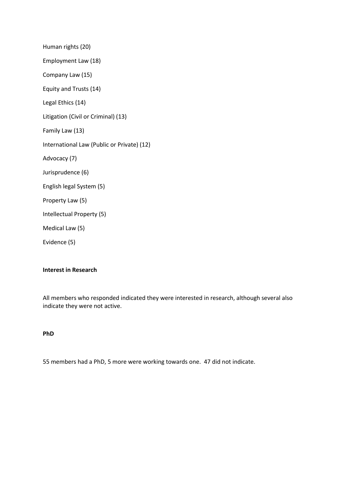Human rights (20) Employment Law (18) Company Law (15) Equity and Trusts (14) Legal Ethics (14) Litigation (Civil or Criminal) (13) Family Law (13) International Law (Public or Private) (12) Advocacy (7) Jurisprudence (6) English legal System (5) Property Law (5) Intellectual Property (5) Medical Law (5) Evidence (5)

# **Interest in Research**

All members who responded indicated they were interested in research, although several also indicate they were not active.

#### **PhD**

55 members had a PhD, 5 more were working towards one. 47 did not indicate.